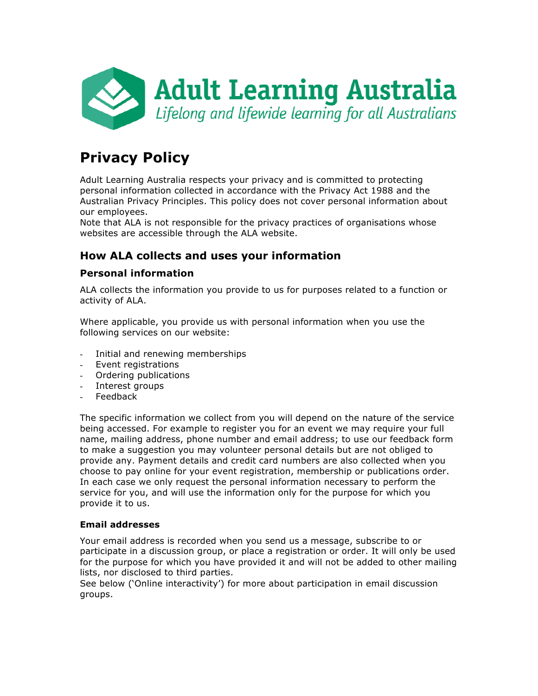

# **Privacy Policy**

Adult Learning Australia respects your privacy and is committed to protecting personal information collected in accordance with the Privacy Act 1988 and the Australian Privacy Principles. This policy does not cover personal information about our employees.

Note that ALA is not responsible for the privacy practices of organisations whose websites are accessible through the ALA website.

# **How ALA collects and uses your information**

## **Personal information**

ALA collects the information you provide to us for purposes related to a function or activity of ALA.

Where applicable, you provide us with personal information when you use the following services on our website:

- Initial and renewing memberships
- Event registrations
- Ordering publications
- Interest groups
- **Feedback**

The specific information we collect from you will depend on the nature of the service being accessed. For example to register you for an event we may require your full name, mailing address, phone number and email address; to use our feedback form to make a suggestion you may volunteer personal details but are not obliged to provide any. Payment details and credit card numbers are also collected when you choose to pay online for your event registration, membership or publications order. In each case we only request the personal information necessary to perform the service for you, and will use the information only for the purpose for which you provide it to us.

#### **Email addresses**

Your email address is recorded when you send us a message, subscribe to or participate in a discussion group, or place a registration or order. It will only be used for the purpose for which you have provided it and will not be added to other mailing lists, nor disclosed to third parties.

See below ('Online interactivity') for more about participation in email discussion groups.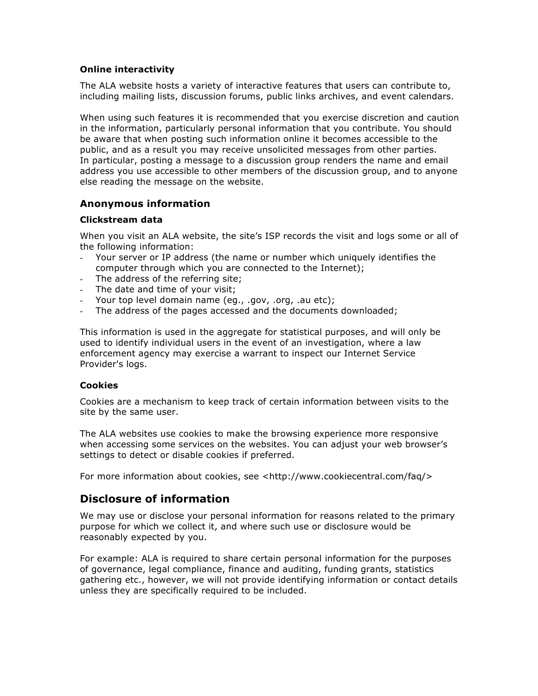#### **Online interactivity**

The ALA website hosts a variety of interactive features that users can contribute to, including mailing lists, discussion forums, public links archives, and event calendars.

When using such features it is recommended that you exercise discretion and caution in the information, particularly personal information that you contribute. You should be aware that when posting such information online it becomes accessible to the public, and as a result you may receive unsolicited messages from other parties. In particular, posting a message to a discussion group renders the name and email address you use accessible to other members of the discussion group, and to anyone else reading the message on the website.

### **Anonymous information**

#### **Clickstream data**

When you visit an ALA website, the site's ISP records the visit and logs some or all of the following information:

- Your server or IP address (the name or number which uniquely identifies the computer through which you are connected to the Internet);
- The address of the referring site;
- The date and time of your visit;
- Your top level domain name (eg., .gov, .org, .au etc);
- The address of the pages accessed and the documents downloaded;

This information is used in the aggregate for statistical purposes, and will only be used to identify individual users in the event of an investigation, where a law enforcement agency may exercise a warrant to inspect our Internet Service Provider's logs.

#### **Cookies**

Cookies are a mechanism to keep track of certain information between visits to the site by the same user.

The ALA websites use cookies to make the browsing experience more responsive when accessing some services on the websites. You can adjust your web browser's settings to detect or disable cookies if preferred.

For more information about cookies, see <http://www.cookiecentral.com/faq/>

# **Disclosure of information**

We may use or disclose your personal information for reasons related to the primary purpose for which we collect it, and where such use or disclosure would be reasonably expected by you.

For example: ALA is required to share certain personal information for the purposes of governance, legal compliance, finance and auditing, funding grants, statistics gathering etc., however, we will not provide identifying information or contact details unless they are specifically required to be included.